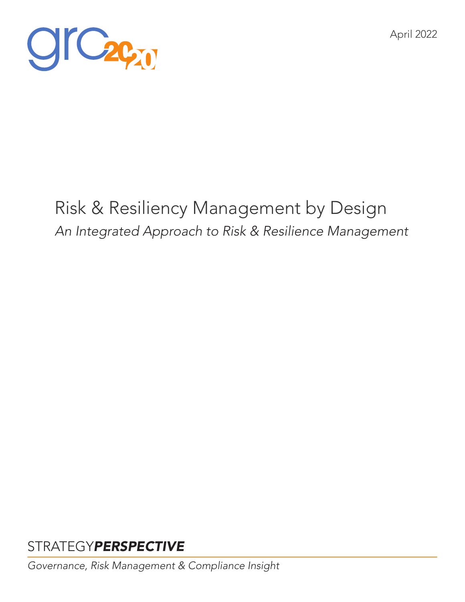



# Risk & Resiliency Management by Design *An Integrated Approach to Risk & Resilience Management*

## STRATEGY*PERSPECTIVE*

*Governance, Risk Management & Compliance Insight*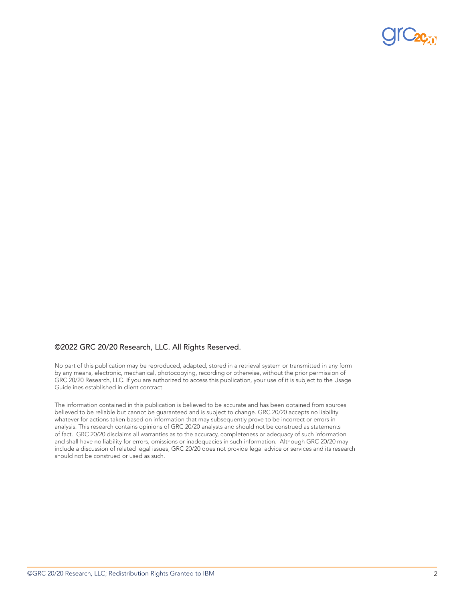

#### ©2022 GRC 20/20 Research, LLC. All Rights Reserved.

No part of this publication may be reproduced, adapted, stored in a retrieval system or transmitted in any form by any means, electronic, mechanical, photocopying, recording or otherwise, without the prior permission of GRC 20/20 Research, LLC. If you are authorized to access this publication, your use of it is subject to the Usage Guidelines established in client contract.

The information contained in this publication is believed to be accurate and has been obtained from sources believed to be reliable but cannot be guaranteed and is subject to change. GRC 20/20 accepts no liability whatever for actions taken based on information that may subsequently prove to be incorrect or errors in analysis. This research contains opinions of GRC 20/20 analysts and should not be construed as statements of fact. GRC 20/20 disclaims all warranties as to the accuracy, completeness or adequacy of such information and shall have no liability for errors, omissions or inadequacies in such information. Although GRC 20/20 may include a discussion of related legal issues, GRC 20/20 does not provide legal advice or services and its research should not be construed or used as such.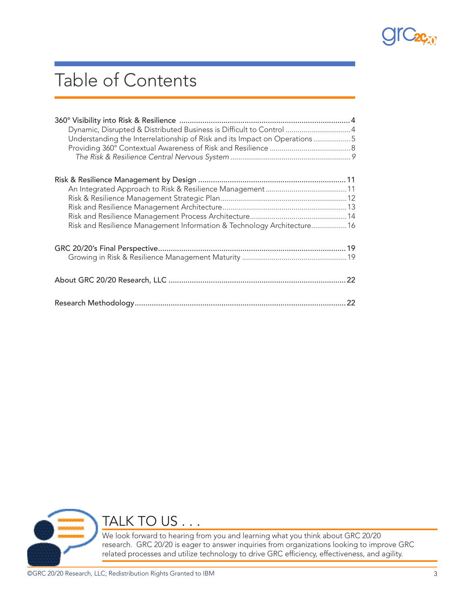

# Table of Contents

| Dynamic, Disrupted & Distributed Business is Difficult to Control 4<br>Understanding the Interrelationship of Risk and its Impact on Operations5 |  |
|--------------------------------------------------------------------------------------------------------------------------------------------------|--|
| Risk and Resilience Management Information & Technology Architecture 16                                                                          |  |
|                                                                                                                                                  |  |
|                                                                                                                                                  |  |
|                                                                                                                                                  |  |



TALK TO US . . .

We look forward to hearing from you and learning what you think about GRC 20/20 research. GRC 20/20 is eager to answer inquiries from organizations looking to improve GRC related processes and utilize technology to drive GRC efficiency, effectiveness, and agility.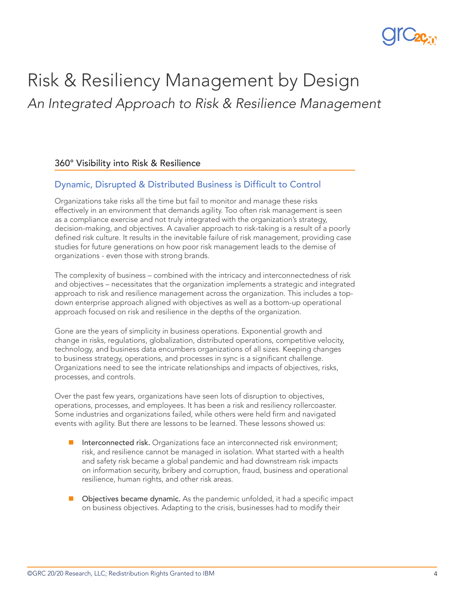

## Risk & Resiliency Management by Design *An Integrated Approach to Risk & Resilience Management*

#### 360° Visibility into Risk & Resilience

### Dynamic, Disrupted & Distributed Business is Difficult to Control

Organizations take risks all the time but fail to monitor and manage these risks effectively in an environment that demands agility. Too often risk management is seen as a compliance exercise and not truly integrated with the organization's strategy, decision-making, and objectives. A cavalier approach to risk-taking is a result of a poorly defined risk culture. It results in the inevitable failure of risk management, providing case studies for future generations on how poor risk management leads to the demise of organizations - even those with strong brands.

The complexity of business – combined with the intricacy and interconnectedness of risk and objectives – necessitates that the organization implements a strategic and integrated approach to risk and resilience management across the organization. This includes a topdown enterprise approach aligned with objectives as well as a bottom-up operational approach focused on risk and resilience in the depths of the organization.

Gone are the years of simplicity in business operations. Exponential growth and change in risks, regulations, globalization, distributed operations, competitive velocity, technology, and business data encumbers organizations of all sizes. Keeping changes to business strategy, operations, and processes in sync is a significant challenge. Organizations need to see the intricate relationships and impacts of objectives, risks, processes, and controls.

Over the past few years, organizations have seen lots of disruption to objectives, operations, processes, and employees. It has been a risk and resiliency rollercoaster. Some industries and organizations failed, while others were held firm and navigated events with agility. But there are lessons to be learned. These lessons showed us:

- **n** Interconnected risk. Organizations face an interconnected risk environment; risk, and resilience cannot be managed in isolation. What started with a health and safety risk became a global pandemic and had downstream risk impacts on information security, bribery and corruption, fraud, business and operational resilience, human rights, and other risk areas.
- $\Box$  Objectives became dynamic. As the pandemic unfolded, it had a specific impact on business objectives. Adapting to the crisis, businesses had to modify their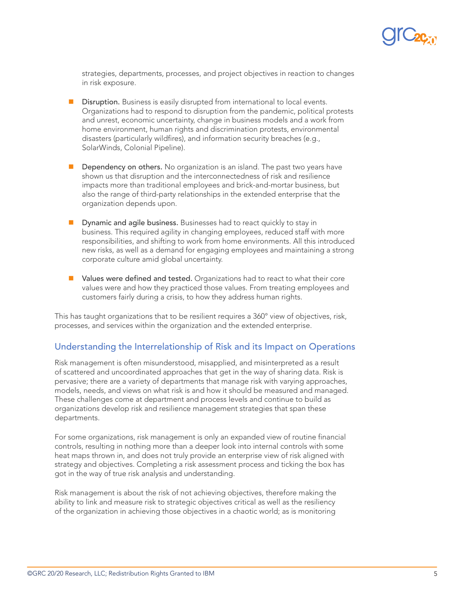

strategies, departments, processes, and project objectives in reaction to changes in risk exposure.

- **n** Disruption. Business is easily disrupted from international to local events. Organizations had to respond to disruption from the pandemic, political protests and unrest, economic uncertainty, change in business models and a work from home environment, human rights and discrimination protests, environmental disasters (particularly wildfires), and information security breaches (e.g., SolarWinds, Colonial Pipeline).
- Dependency on others. No organization is an island. The past two years have shown us that disruption and the interconnectedness of risk and resilience impacts more than traditional employees and brick-and-mortar business, but also the range of third-party relationships in the extended enterprise that the organization depends upon.
- Dynamic and agile business. Businesses had to react quickly to stay in business. This required agility in changing employees, reduced staff with more responsibilities, and shifting to work from home environments. All this introduced new risks, as well as a demand for engaging employees and maintaining a strong corporate culture amid global uncertainty.
- **n** Values were defined and tested. Organizations had to react to what their core values were and how they practiced those values. From treating employees and customers fairly during a crisis, to how they address human rights.

This has taught organizations that to be resilient requires a 360° view of objectives, risk, processes, and services within the organization and the extended enterprise.

#### Understanding the Interrelationship of Risk and its Impact on Operations

Risk management is often misunderstood, misapplied, and misinterpreted as a result of scattered and uncoordinated approaches that get in the way of sharing data. Risk is pervasive; there are a variety of departments that manage risk with varying approaches, models, needs, and views on what risk is and how it should be measured and managed. These challenges come at department and process levels and continue to build as organizations develop risk and resilience management strategies that span these departments.

For some organizations, risk management is only an expanded view of routine financial controls, resulting in nothing more than a deeper look into internal controls with some heat maps thrown in, and does not truly provide an enterprise view of risk aligned with strategy and objectives. Completing a risk assessment process and ticking the box has got in the way of true risk analysis and understanding.

Risk management is about the risk of not achieving objectives, therefore making the ability to link and measure risk to strategic objectives critical as well as the resiliency of the organization in achieving those objectives in a chaotic world; as is monitoring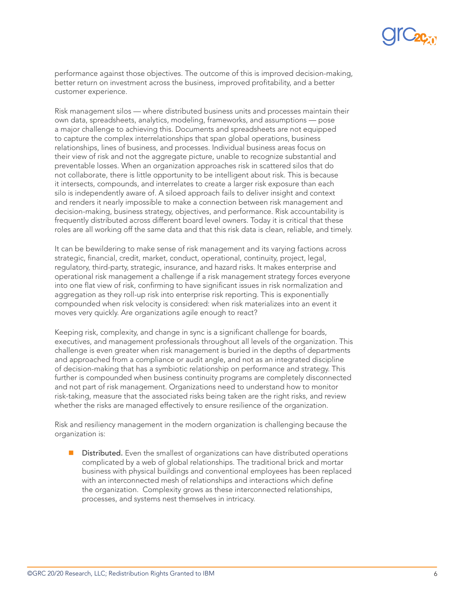

performance against those objectives. The outcome of this is improved decision-making, better return on investment across the business, improved profitability, and a better customer experience.

Risk management silos — where distributed business units and processes maintain their own data, spreadsheets, analytics, modeling, frameworks, and assumptions — pose a major challenge to achieving this. Documents and spreadsheets are not equipped to capture the complex interrelationships that span global operations, business relationships, lines of business, and processes. Individual business areas focus on their view of risk and not the aggregate picture, unable to recognize substantial and preventable losses. When an organization approaches risk in scattered silos that do not collaborate, there is little opportunity to be intelligent about risk. This is because it intersects, compounds, and interrelates to create a larger risk exposure than each silo is independently aware of. A siloed approach fails to deliver insight and context and renders it nearly impossible to make a connection between risk management and decision-making, business strategy, objectives, and performance. Risk accountability is frequently distributed across different board level owners. Today it is critical that these roles are all working off the same data and that this risk data is clean, reliable, and timely.

It can be bewildering to make sense of risk management and its varying factions across strategic, financial, credit, market, conduct, operational, continuity, project, legal, regulatory, third-party, strategic, insurance, and hazard risks. It makes enterprise and operational risk management a challenge if a risk management strategy forces everyone into one flat view of risk, confirming to have significant issues in risk normalization and aggregation as they roll-up risk into enterprise risk reporting. This is exponentially compounded when risk velocity is considered: when risk materializes into an event it moves very quickly. Are organizations agile enough to react?

Keeping risk, complexity, and change in sync is a significant challenge for boards, executives, and management professionals throughout all levels of the organization. This challenge is even greater when risk management is buried in the depths of departments and approached from a compliance or audit angle, and not as an integrated discipline of decision-making that has a symbiotic relationship on performance and strategy. This further is compounded when business continuity programs are completely disconnected and not part of risk management. Organizations need to understand how to monitor risk-taking, measure that the associated risks being taken are the right risks, and review whether the risks are managed effectively to ensure resilience of the organization.

Risk and resiliency management in the modern organization is challenging because the organization is:

Distributed. Even the smallest of organizations can have distributed operations complicated by a web of global relationships. The traditional brick and mortar business with physical buildings and conventional employees has been replaced with an interconnected mesh of relationships and interactions which define the organization. Complexity grows as these interconnected relationships, processes, and systems nest themselves in intricacy.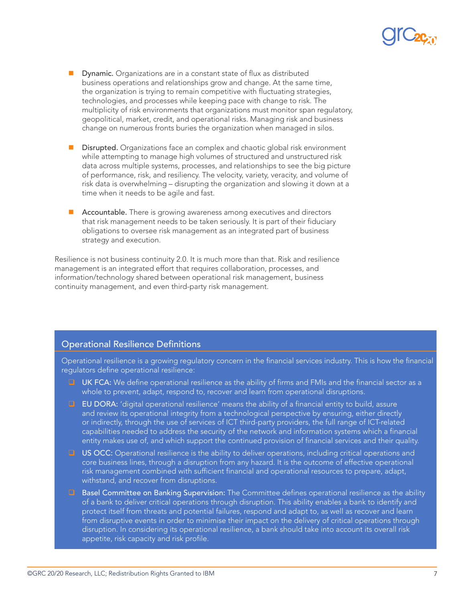- **n** Dynamic. Organizations are in a constant state of flux as distributed business operations and relationships grow and change. At the same time, the organization is trying to remain competitive with fluctuating strategies, technologies, and processes while keeping pace with change to risk. The multiplicity of risk environments that organizations must monitor span regulatory, geopolitical, market, credit, and operational risks. Managing risk and business change on numerous fronts buries the organization when managed in silos.
- **n** Disrupted. Organizations face an complex and chaotic global risk environment while attempting to manage high volumes of structured and unstructured risk data across multiple systems, processes, and relationships to see the big picture of performance, risk, and resiliency. The velocity, variety, veracity, and volume of risk data is overwhelming – disrupting the organization and slowing it down at a time when it needs to be agile and fast.
- Accountable. There is growing awareness among executives and directors that risk management needs to be taken seriously. It is part of their fiduciary obligations to oversee risk management as an integrated part of business strategy and execution.

Resilience is not business continuity 2.0. It is much more than that. Risk and resilience management is an integrated effort that requires collaboration, processes, and information/technology shared between operational risk management, business continuity management, and even third-party risk management.

### Operational Resilience Definitions

Operational resilience is a growing regulatory concern in the financial services industry. This is how the financial regulators define operational resilience:

- $\Box$  UK FCA: We define operational resilience as the ability of firms and FMIs and the financial sector as a whole to prevent, adapt, respond to, recover and learn from operational disruptions.
- $\Box$  EU DORA: 'digital operational resilience' means the ability of a financial entity to build, assure and review its operational integrity from a technological perspective by ensuring, either directly or indirectly, through the use of services of ICT third-party providers, the full range of ICT-related capabilities needed to address the security of the network and information systems which a financial entity makes use of, and which support the continued provision of financial services and their quality.
- **US OCC:** Operational resilience is the ability to deliver operations, including critical operations and core business lines, through a disruption from any hazard. It is the outcome of effective operational risk management combined with sufficient financial and operational resources to prepare, adapt, withstand, and recover from disruptions.
- **D** Basel Committee on Banking Supervision: The Committee defines operational resilience as the ability of a bank to deliver critical operations through disruption. This ability enables a bank to identify and protect itself from threats and potential failures, respond and adapt to, as well as recover and learn from disruptive events in order to minimise their impact on the delivery of critical operations through disruption. In considering its operational resilience, a bank should take into account its overall risk appetite, risk capacity and risk profile.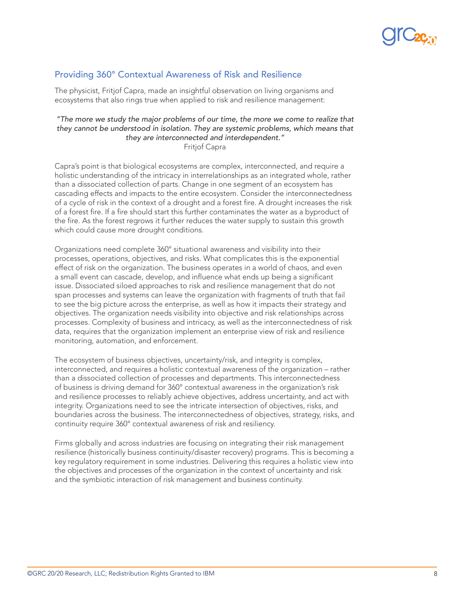

### Providing 360° Contextual Awareness of Risk and Resilience

The physicist, Fritjof Capra, made an insightful observation on living organisms and ecosystems that also rings true when applied to risk and resilience management:

#### *"The more we study the major problems of our time, the more we come to realize that they cannot be understood in isolation. They are systemic problems, which means that they are interconnected and interdependent."*  Fritjof Capra

Capra's point is that biological ecosystems are complex, interconnected, and require a holistic understanding of the intricacy in interrelationships as an integrated whole, rather than a dissociated collection of parts. Change in one segment of an ecosystem has cascading effects and impacts to the entire ecosystem. Consider the interconnectedness of a cycle of risk in the context of a drought and a forest fire. A drought increases the risk of a forest fire. If a fire should start this further contaminates the water as a byproduct of the fire. As the forest regrows it further reduces the water supply to sustain this growth which could cause more drought conditions.

Organizations need complete 360° situational awareness and visibility into their processes, operations, objectives, and risks. What complicates this is the exponential effect of risk on the organization. The business operates in a world of chaos, and even a small event can cascade, develop, and influence what ends up being a significant issue. Dissociated siloed approaches to risk and resilience management that do not span processes and systems can leave the organization with fragments of truth that fail to see the big picture across the enterprise, as well as how it impacts their strategy and objectives. The organization needs visibility into objective and risk relationships across processes. Complexity of business and intricacy, as well as the interconnectedness of risk data, requires that the organization implement an enterprise view of risk and resilience monitoring, automation, and enforcement.

The ecosystem of business objectives, uncertainty/risk, and integrity is complex, interconnected, and requires a holistic contextual awareness of the organization – rather than a dissociated collection of processes and departments. This interconnectedness of business is driving demand for 360° contextual awareness in the organization's risk and resilience processes to reliably achieve objectives, address uncertainty, and act with integrity. Organizations need to see the intricate intersection of objectives, risks, and boundaries across the business. The interconnectedness of objectives, strategy, risks, and continuity require 360° contextual awareness of risk and resiliency.

Firms globally and across industries are focusing on integrating their risk management resilience (historically business continuity/disaster recovery) programs. This is becoming a key regulatory requirement in some industries. Delivering this requires a holistic view into the objectives and processes of the organization in the context of uncertainty and risk and the symbiotic interaction of risk management and business continuity.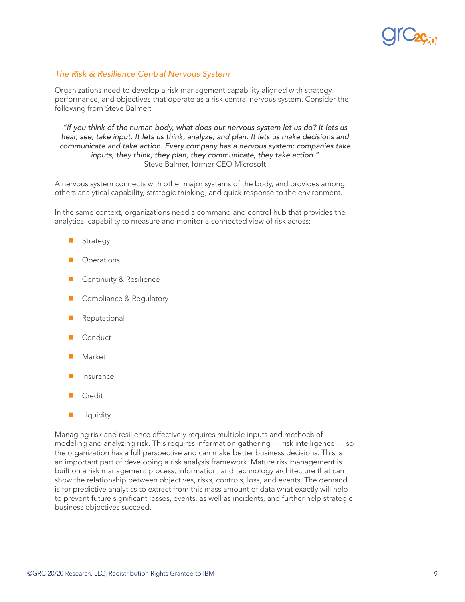

#### *The Risk & Resilience Central Nervous System*

Organizations need to develop a risk management capability aligned with strategy, performance, and objectives that operate as a risk central nervous system. Consider the following from Steve Balmer:

*"If you think of the human body, what does our nervous system let us do? It lets us hear, see, take input. It lets us think, analyze, and plan. It lets us make decisions and communicate and take action. Every company has a nervous system: companies take inputs, they think, they plan, they communicate, they take action."*  Steve Balmer, former CEO Microsoft

A nervous system connects with other major systems of the body, and provides among others analytical capability, strategic thinking, and quick response to the environment.

In the same context, organizations need a command and control hub that provides the analytical capability to measure and monitor a connected view of risk across:

- Strategy
- **Operations**
- Continuity & Resilience
- Compliance & Regulatory
- Reputational
- Conduct
- Market
- **Insurance**
- Credit
- Liquidity

Managing risk and resilience effectively requires multiple inputs and methods of modeling and analyzing risk. This requires information gathering — risk intelligence — so the organization has a full perspective and can make better business decisions. This is an important part of developing a risk analysis framework. Mature risk management is built on a risk management process, information, and technology architecture that can show the relationship between objectives, risks, controls, loss, and events. The demand is for predictive analytics to extract from this mass amount of data what exactly will help to prevent future significant losses, events, as well as incidents, and further help strategic business objectives succeed.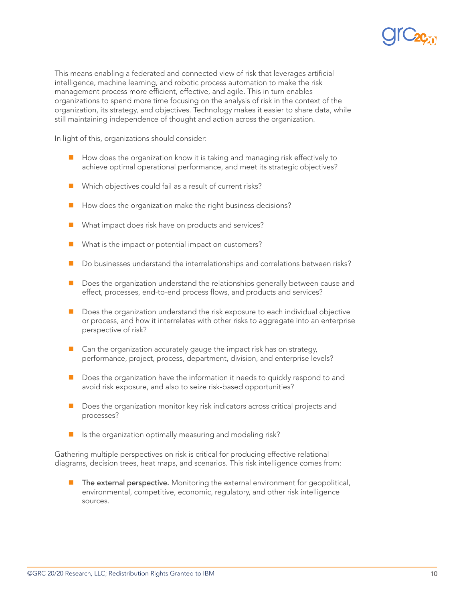

This means enabling a federated and connected view of risk that leverages artificial intelligence, machine learning, and robotic process automation to make the risk management process more efficient, effective, and agile. This in turn enables organizations to spend more time focusing on the analysis of risk in the context of the organization, its strategy, and objectives. Technology makes it easier to share data, while still maintaining independence of thought and action across the organization.

In light of this, organizations should consider:

- $\blacksquare$  How does the organization know it is taking and managing risk effectively to achieve optimal operational performance, and meet its strategic objectives?
- $\blacksquare$  Which objectives could fail as a result of current risks?
- $\blacksquare$  How does the organization make the right business decisions?
- What impact does risk have on products and services?
- $\blacksquare$  What is the impact or potential impact on customers?
- Do businesses understand the interrelationships and correlations between risks?
- **n** Does the organization understand the relationships generally between cause and effect, processes, end-to-end process flows, and products and services?
- Does the organization understand the risk exposure to each individual objective or process, and how it interrelates with other risks to aggregate into an enterprise perspective of risk?
- $\blacksquare$  Can the organization accurately gauge the impact risk has on strategy, performance, project, process, department, division, and enterprise levels?
- $\blacksquare$  Does the organization have the information it needs to quickly respond to and avoid risk exposure, and also to seize risk-based opportunities?
- $\blacksquare$  Does the organization monitor key risk indicators across critical projects and processes?
- $\blacksquare$  Is the organization optimally measuring and modeling risk?

Gathering multiple perspectives on risk is critical for producing effective relational diagrams, decision trees, heat maps, and scenarios. This risk intelligence comes from:

**n** The external perspective. Monitoring the external environment for geopolitical, environmental, competitive, economic, regulatory, and other risk intelligence sources.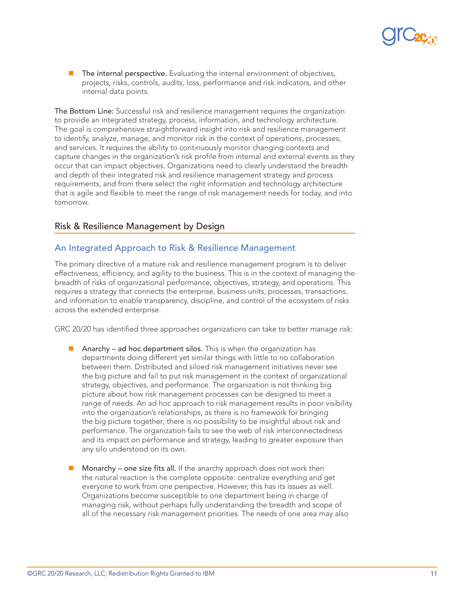

The internal perspective. Evaluating the internal environment of objectives, projects, risks, controls, audits, loss, performance and risk indicators, and other internal data points.

The Bottom Line: Successful risk and resilience management requires the organization to provide an integrated strategy, process, information, and technology architecture. The goal is comprehensive straightforward insight into risk and resilience management to identify, analyze, manage, and monitor risk in the context of operations, processes, and services. It requires the ability to continuously monitor changing contexts and capture changes in the organization's risk profile from internal and external events as they occur that can impact objectives. Organizations need to clearly understand the breadth and depth of their integrated risk and resilience management strategy and process requirements, and from there select the right information and technology architecture that is agile and flexible to meet the range of risk management needs for today, and into tomorrow.

#### Risk & Resilience Management by Design

#### An Integrated Approach to Risk & Resilience Management

The primary directive of a mature risk and resilience management program is to deliver effectiveness, efficiency, and agility to the business. This is in the context of managing the breadth of risks of organizational performance, objectives, strategy, and operations. This requires a strategy that connects the enterprise, business units, processes, transactions, and information to enable transparency, discipline, and control of the ecosystem of risks across the extended enterprise.

GRC 20/20 has identified three approaches organizations can take to better manage risk:

- **n** Anarchy ad hoc department silos. This is when the organization has departments doing different yet similar things with little to no collaboration between them. Distributed and siloed risk management initiatives never see the big picture and fail to put risk management in the context of organizational strategy, objectives, and performance. The organization is not thinking big picture about how risk management processes can be designed to meet a range of needs. An ad hoc approach to risk management results in poor visibility into the organization's relationships, as there is no framework for bringing the big picture together; there is no possibility to be insightful about risk and performance. The organization fails to see the web of risk interconnectedness and its impact on performance and strategy, leading to greater exposure than any silo understood on its own.
- Monarchy one size fits all. If the anarchy approach does not work then the natural reaction is the complete opposite: centralize everything and get everyone to work from one perspective. However, this has its issues as well. Organizations become susceptible to one department being in charge of managing risk, without perhaps fully understanding the breadth and scope of all of the necessary risk management priorities. The needs of one area may also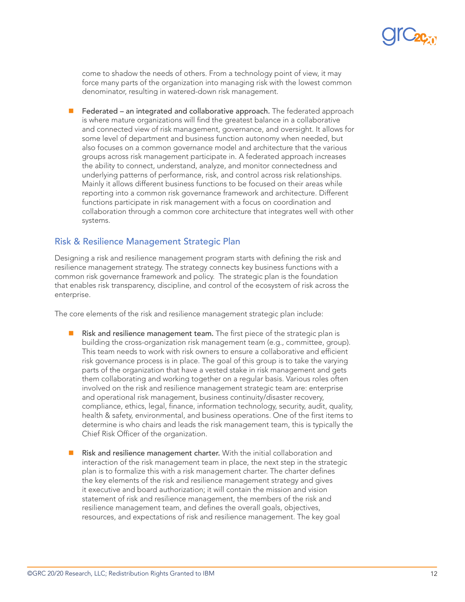

come to shadow the needs of others. From a technology point of view, it may force many parts of the organization into managing risk with the lowest common denominator, resulting in watered-down risk management.

Federated – an integrated and collaborative approach. The federated approach is where mature organizations will find the greatest balance in a collaborative and connected view of risk management, governance, and oversight. It allows for some level of department and business function autonomy when needed, but also focuses on a common governance model and architecture that the various groups across risk management participate in. A federated approach increases the ability to connect, understand, analyze, and monitor connectedness and underlying patterns of performance, risk, and control across risk relationships. Mainly it allows different business functions to be focused on their areas while reporting into a common risk governance framework and architecture. Different functions participate in risk management with a focus on coordination and collaboration through a common core architecture that integrates well with other systems.

#### Risk & Resilience Management Strategic Plan

Designing a risk and resilience management program starts with defining the risk and resilience management strategy. The strategy connects key business functions with a common risk governance framework and policy. The strategic plan is the foundation that enables risk transparency, discipline, and control of the ecosystem of risk across the enterprise.

The core elements of the risk and resilience management strategic plan include:

- $\blacksquare$  Risk and resilience management team. The first piece of the strategic plan is building the cross-organization risk management team (e.g., committee, group). This team needs to work with risk owners to ensure a collaborative and efficient risk governance process is in place. The goal of this group is to take the varying parts of the organization that have a vested stake in risk management and gets them collaborating and working together on a regular basis. Various roles often involved on the risk and resilience management strategic team are: enterprise and operational risk management, business continuity/disaster recovery, compliance, ethics, legal, finance, information technology, security, audit, quality, health & safety, environmental, and business operations. One of the first items to determine is who chairs and leads the risk management team, this is typically the Chief Risk Officer of the organization.
- Risk and resilience management charter. With the initial collaboration and interaction of the risk management team in place, the next step in the strategic plan is to formalize this with a risk management charter. The charter defines the key elements of the risk and resilience management strategy and gives it executive and board authorization; it will contain the mission and vision statement of risk and resilience management, the members of the risk and resilience management team, and defines the overall goals, objectives, resources, and expectations of risk and resilience management. The key goal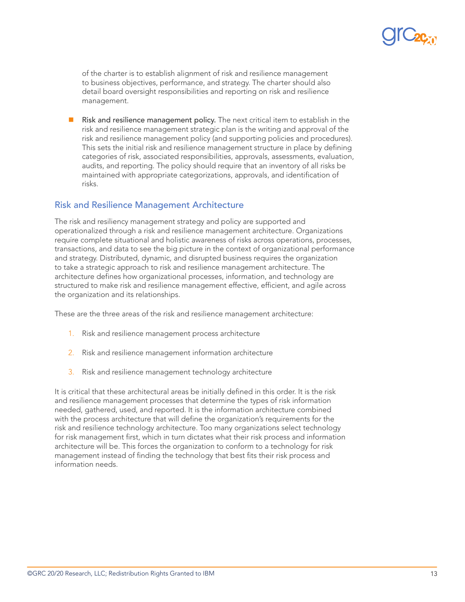

of the charter is to establish alignment of risk and resilience management to business objectives, performance, and strategy. The charter should also detail board oversight responsibilities and reporting on risk and resilience management.

Risk and resilience management policy. The next critical item to establish in the risk and resilience management strategic plan is the writing and approval of the risk and resilience management policy (and supporting policies and procedures). This sets the initial risk and resilience management structure in place by defining categories of risk, associated responsibilities, approvals, assessments, evaluation, audits, and reporting. The policy should require that an inventory of all risks be maintained with appropriate categorizations, approvals, and identification of risks.

#### Risk and Resilience Management Architecture

The risk and resiliency management strategy and policy are supported and operationalized through a risk and resilience management architecture. Organizations require complete situational and holistic awareness of risks across operations, processes, transactions, and data to see the big picture in the context of organizational performance and strategy. Distributed, dynamic, and disrupted business requires the organization to take a strategic approach to risk and resilience management architecture. The architecture defines how organizational processes, information, and technology are structured to make risk and resilience management effective, efficient, and agile across the organization and its relationships.

These are the three areas of the risk and resilience management architecture:

- 1. Risk and resilience management process architecture
- 2. Risk and resilience management information architecture
- 3. Risk and resilience management technology architecture

It is critical that these architectural areas be initially defined in this order. It is the risk and resilience management processes that determine the types of risk information needed, gathered, used, and reported. It is the information architecture combined with the process architecture that will define the organization's requirements for the risk and resilience technology architecture. Too many organizations select technology for risk management first, which in turn dictates what their risk process and information architecture will be. This forces the organization to conform to a technology for risk management instead of finding the technology that best fits their risk process and information needs.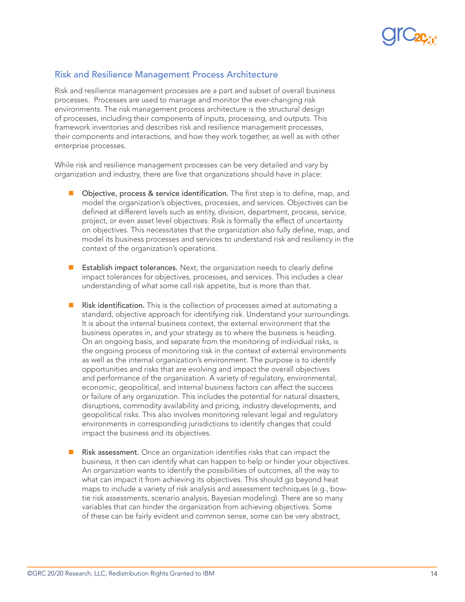

### Risk and Resilience Management Process Architecture

Risk and resilience management processes are a part and subset of overall business processes. Processes are used to manage and monitor the ever-changing risk environments. The risk management process architecture is the structural design of processes, including their components of inputs, processing, and outputs. This framework inventories and describes risk and resilience management processes, their components and interactions, and how they work together, as well as with other enterprise processes.

While risk and resilience management processes can be very detailed and vary by organization and industry, there are five that organizations should have in place:

- $\Box$  Objective, process & service identification. The first step is to define, map, and model the organization's objectives, processes, and services. Objectives can be defined at different levels such as entity, division, department, process, service, project, or even asset level objectives. Risk is formally the effect of uncertainty on objectives. This necessitates that the organization also fully define, map, and model its business processes and services to understand risk and resiliency in the context of the organization's operations.
- $\blacksquare$  Establish impact tolerances. Next, the organization needs to clearly define impact tolerances for objectives, processes, and services. This includes a clear understanding of what some call risk appetite, but is more than that.
- Risk identification. This is the collection of processes aimed at automating a standard, objective approach for identifying risk. Understand your surroundings. It is about the internal business context, the external environment that the business operates in, and your strategy as to where the business is heading. On an ongoing basis, and separate from the monitoring of individual risks, is the ongoing process of monitoring risk in the context of external environments as well as the internal organization's environment. The purpose is to identify opportunities and risks that are evolving and impact the overall objectives and performance of the organization. A variety of regulatory, environmental, economic, geopolitical, and internal business factors can affect the success or failure of any organization. This includes the potential for natural disasters, disruptions, commodity availability and pricing, industry developments, and geopolitical risks. This also involves monitoring relevant legal and regulatory environments in corresponding jurisdictions to identify changes that could impact the business and its objectives.
- Risk assessment. Once an organization identifies risks that can impact the business, it then can identify what can happen to help or hinder your objectives. An organization wants to identify the possibilities of outcomes, all the way to what can impact it from achieving its objectives. This should go beyond heat maps to include a variety of risk analysis and assessment techniques (e.g., bowtie risk assessments, scenario analysis, Bayesian modeling). There are so many variables that can hinder the organization from achieving objectives. Some of these can be fairly evident and common sense, some can be very abstract,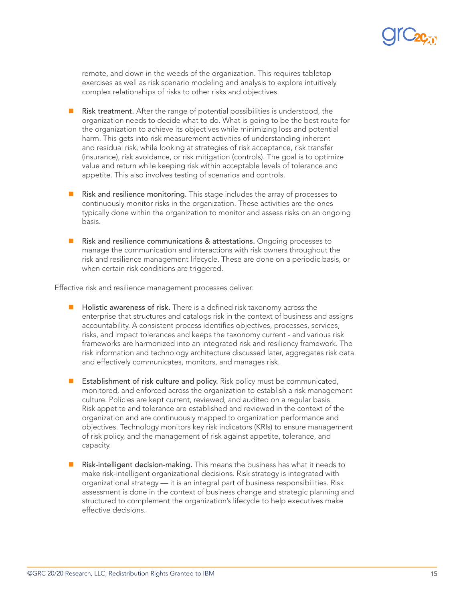

remote, and down in the weeds of the organization. This requires tabletop exercises as well as risk scenario modeling and analysis to explore intuitively complex relationships of risks to other risks and objectives.

- Risk treatment. After the range of potential possibilities is understood, the organization needs to decide what to do. What is going to be the best route for the organization to achieve its objectives while minimizing loss and potential harm. This gets into risk measurement activities of understanding inherent and residual risk, while looking at strategies of risk acceptance, risk transfer (insurance), risk avoidance, or risk mitigation (controls). The goal is to optimize value and return while keeping risk within acceptable levels of tolerance and appetite. This also involves testing of scenarios and controls.
- n Risk and resilience monitoring. This stage includes the array of processes to continuously monitor risks in the organization. These activities are the ones typically done within the organization to monitor and assess risks on an ongoing basis.
- n Risk and resilience communications & attestations. Ongoing processes to manage the communication and interactions with risk owners throughout the risk and resilience management lifecycle. These are done on a periodic basis, or when certain risk conditions are triggered.

Effective risk and resilience management processes deliver:

- $\blacksquare$  Holistic awareness of risk. There is a defined risk taxonomy across the enterprise that structures and catalogs risk in the context of business and assigns accountability. A consistent process identifies objectives, processes, services, risks, and impact tolerances and keeps the taxonomy current - and various risk frameworks are harmonized into an integrated risk and resiliency framework. The risk information and technology architecture discussed later, aggregates risk data and effectively communicates, monitors, and manages risk.
- Establishment of risk culture and policy. Risk policy must be communicated, monitored, and enforced across the organization to establish a risk management culture. Policies are kept current, reviewed, and audited on a regular basis. Risk appetite and tolerance are established and reviewed in the context of the organization and are continuously mapped to organization performance and objectives. Technology monitors key risk indicators (KRIs) to ensure management of risk policy, and the management of risk against appetite, tolerance, and capacity.
- Risk-intelligent decision-making. This means the business has what it needs to make risk-intelligent organizational decisions. Risk strategy is integrated with organizational strategy — it is an integral part of business responsibilities. Risk assessment is done in the context of business change and strategic planning and structured to complement the organization's lifecycle to help executives make effective decisions.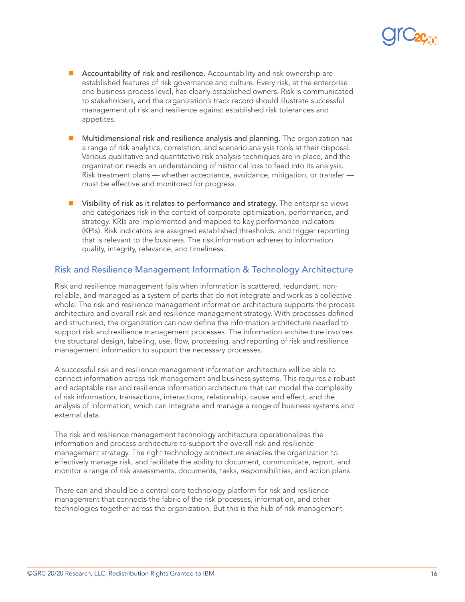- $\blacksquare$  Accountability of risk and resilience. Accountability and risk ownership are established features of risk governance and culture. Every risk, at the enterprise and business-process level, has clearly established owners. Risk is communicated to stakeholders, and the organization's track record should illustrate successful management of risk and resilience against established risk tolerances and appetites.
- n Multidimensional risk and resilience analysis and planning. The organization has a range of risk analytics, correlation, and scenario analysis tools at their disposal. Various qualitative and quantitative risk analysis techniques are in place, and the organization needs an understanding of historical loss to feed into its analysis. Risk treatment plans — whether acceptance, avoidance, mitigation, or transfer must be effective and monitored for progress.
- $\blacksquare$  Visibility of risk as it relates to performance and strategy. The enterprise views and categorizes risk in the context of corporate optimization, performance, and strategy. KRIs are implemented and mapped to key performance indicators (KPIs). Risk indicators are assigned established thresholds, and trigger reporting that is relevant to the business. The risk information adheres to information quality, integrity, relevance, and timeliness.

### Risk and Resilience Management Information & Technology Architecture

Risk and resilience management fails when information is scattered, redundant, nonreliable, and managed as a system of parts that do not integrate and work as a collective whole. The risk and resilience management information architecture supports the process architecture and overall risk and resilience management strategy. With processes defined and structured, the organization can now define the information architecture needed to support risk and resilience management processes. The information architecture involves the structural design, labeling, use, flow, processing, and reporting of risk and resilience management information to support the necessary processes.

A successful risk and resilience management information architecture will be able to connect information across risk management and business systems. This requires a robust and adaptable risk and resilience information architecture that can model the complexity of risk information, transactions, interactions, relationship, cause and effect, and the analysis of information, which can integrate and manage a range of business systems and external data.

The risk and resilience management technology architecture operationalizes the information and process architecture to support the overall risk and resilience management strategy. The right technology architecture enables the organization to effectively manage risk, and facilitate the ability to document, communicate, report, and monitor a range of risk assessments, documents, tasks, responsibilities, and action plans.

There can and should be a central core technology platform for risk and resilience management that connects the fabric of the risk processes, information, and other technologies together across the organization. But this is the hub of risk management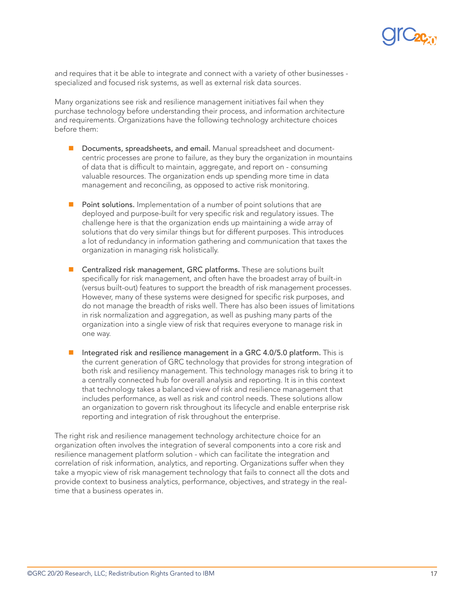

and requires that it be able to integrate and connect with a variety of other businesses specialized and focused risk systems, as well as external risk data sources.

Many organizations see risk and resilience management initiatives fail when they purchase technology before understanding their process, and information architecture and requirements. Organizations have the following technology architecture choices before them:

- **n** Documents, spreadsheets, and email. Manual spreadsheet and documentcentric processes are prone to failure, as they bury the organization in mountains of data that is difficult to maintain, aggregate, and report on - consuming valuable resources. The organization ends up spending more time in data management and reconciling, as opposed to active risk monitoring.
- $\blacksquare$  Point solutions. Implementation of a number of point solutions that are deployed and purpose-built for very specific risk and regulatory issues. The challenge here is that the organization ends up maintaining a wide array of solutions that do very similar things but for different purposes. This introduces a lot of redundancy in information gathering and communication that taxes the organization in managing risk holistically.
- Centralized risk management, GRC platforms. These are solutions built specifically for risk management, and often have the broadest array of built-in (versus built-out) features to support the breadth of risk management processes. However, many of these systems were designed for specific risk purposes, and do not manage the breadth of risks well. There has also been issues of limitations in risk normalization and aggregation, as well as pushing many parts of the organization into a single view of risk that requires everyone to manage risk in one way.
- Integrated risk and resilience management in a GRC 4.0/5.0 platform. This is the current generation of GRC technology that provides for strong integration of both risk and resiliency management. This technology manages risk to bring it to a centrally connected hub for overall analysis and reporting. It is in this context that technology takes a balanced view of risk and resilience management that includes performance, as well as risk and control needs. These solutions allow an organization to govern risk throughout its lifecycle and enable enterprise risk reporting and integration of risk throughout the enterprise.

The right risk and resilience management technology architecture choice for an organization often involves the integration of several components into a core risk and resilience management platform solution - which can facilitate the integration and correlation of risk information, analytics, and reporting. Organizations suffer when they take a myopic view of risk management technology that fails to connect all the dots and provide context to business analytics, performance, objectives, and strategy in the realtime that a business operates in.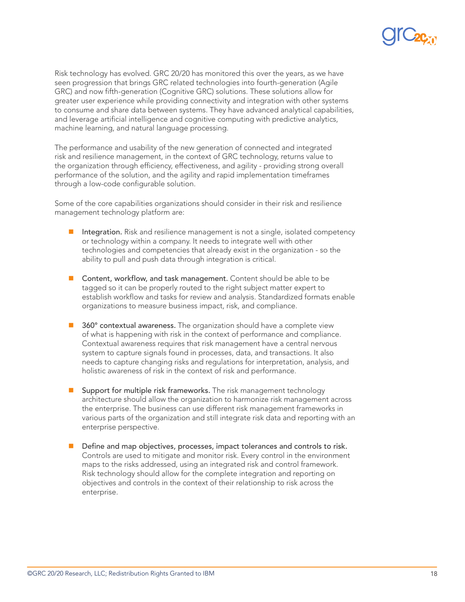

Risk technology has evolved. GRC 20/20 has monitored this over the years, as we have seen progression that brings GRC related technologies into fourth-generation (Agile GRC) and now fifth-generation (Cognitive GRC) solutions. These solutions allow for greater user experience while providing connectivity and integration with other systems to consume and share data between systems. They have advanced analytical capabilities, and leverage artificial intelligence and cognitive computing with predictive analytics, machine learning, and natural language processing.

The performance and usability of the new generation of connected and integrated risk and resilience management, in the context of GRC technology, returns value to the organization through efficiency, effectiveness, and agility - providing strong overall performance of the solution, and the agility and rapid implementation timeframes through a low-code configurable solution.

Some of the core capabilities organizations should consider in their risk and resilience management technology platform are:

- Integration. Risk and resilience management is not a single, isolated competency or technology within a company. It needs to integrate well with other technologies and competencies that already exist in the organization - so the ability to pull and push data through integration is critical.
- $\blacksquare$  Content, workflow, and task management. Content should be able to be tagged so it can be properly routed to the right subject matter expert to establish workflow and tasks for review and analysis. Standardized formats enable organizations to measure business impact, risk, and compliance.
- 360° contextual awareness. The organization should have a complete view of what is happening with risk in the context of performance and compliance. Contextual awareness requires that risk management have a central nervous system to capture signals found in processes, data, and transactions. It also needs to capture changing risks and regulations for interpretation, analysis, and holistic awareness of risk in the context of risk and performance.
- $\blacksquare$  Support for multiple risk frameworks. The risk management technology architecture should allow the organization to harmonize risk management across the enterprise. The business can use different risk management frameworks in various parts of the organization and still integrate risk data and reporting with an enterprise perspective.
- **n** Define and map objectives, processes, impact tolerances and controls to risk. Controls are used to mitigate and monitor risk. Every control in the environment maps to the risks addressed, using an integrated risk and control framework. Risk technology should allow for the complete integration and reporting on objectives and controls in the context of their relationship to risk across the enterprise.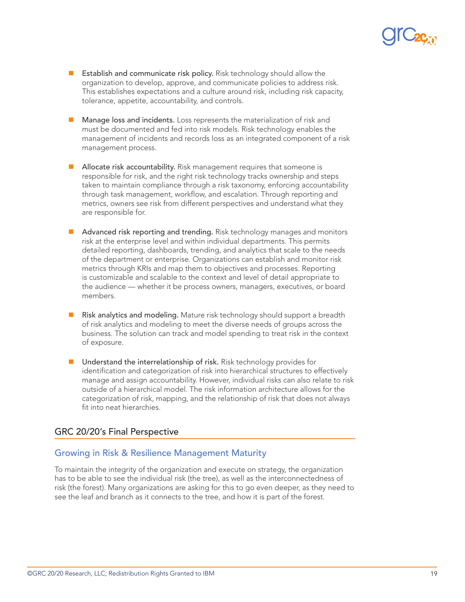

- Establish and communicate risk policy. Risk technology should allow the organization to develop, approve, and communicate policies to address risk. This establishes expectations and a culture around risk, including risk capacity, tolerance, appetite, accountability, and controls.
- $\blacksquare$  Manage loss and incidents. Loss represents the materialization of risk and must be documented and fed into risk models. Risk technology enables the management of incidents and records loss as an integrated component of a risk management process.
- Allocate risk accountability. Risk management requires that someone is responsible for risk, and the right risk technology tracks ownership and steps taken to maintain compliance through a risk taxonomy, enforcing accountability through task management, workflow, and escalation. Through reporting and metrics, owners see risk from different perspectives and understand what they are responsible for.
- Advanced risk reporting and trending. Risk technology manages and monitors risk at the enterprise level and within individual departments. This permits detailed reporting, dashboards, trending, and analytics that scale to the needs of the department or enterprise. Organizations can establish and monitor risk metrics through KRIs and map them to objectives and processes. Reporting is customizable and scalable to the context and level of detail appropriate to the audience — whether it be process owners, managers, executives, or board members.
- Risk analytics and modeling. Mature risk technology should support a breadth of risk analytics and modeling to meet the diverse needs of groups across the business. The solution can track and model spending to treat risk in the context of exposure.
- $\blacksquare$  Understand the interrelationship of risk. Risk technology provides for identification and categorization of risk into hierarchical structures to effectively manage and assign accountability. However, individual risks can also relate to risk outside of a hierarchical model. The risk information architecture allows for the categorization of risk, mapping, and the relationship of risk that does not always fit into neat hierarchies.

#### GRC 20/20's Final Perspective

### Growing in Risk & Resilience Management Maturity

To maintain the integrity of the organization and execute on strategy, the organization has to be able to see the individual risk (the tree), as well as the interconnectedness of risk (the forest). Many organizations are asking for this to go even deeper, as they need to see the leaf and branch as it connects to the tree, and how it is part of the forest.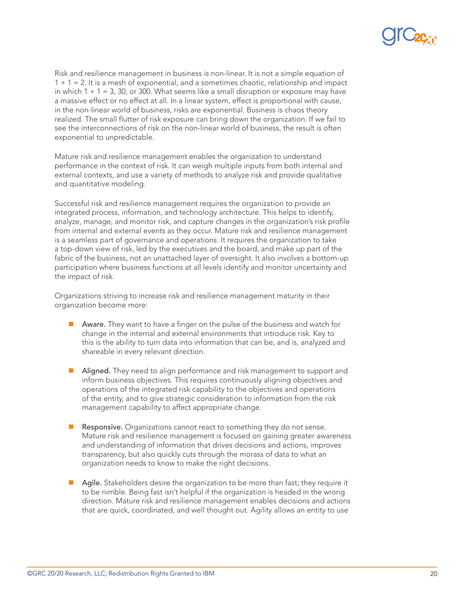Risk and resilience management in business is non-linear. It is not a simple equation of  $1 + 1 = 2$ . It is a mesh of exponential, and a sometimes chaotic, relationship and impact in which  $1 + 1 = 3$ , 30, or 300. What seems like a small disruption or exposure may have a massive effect or no effect at all. In a linear system, effect is proportional with cause, in the non-linear world of business, risks are exponential. Business is chaos theory realized. The small flutter of risk exposure can bring down the organization. If we fail to see the interconnections of risk on the non-linear world of business, the result is often exponential to unpredictable.

Mature risk and resilience management enables the organization to understand performance in the context of risk. It can weigh multiple inputs from both internal and external contexts, and use a variety of methods to analyze risk and provide qualitative and quantitative modeling.

Successful risk and resilience management requires the organization to provide an integrated process, information, and technology architecture. This helps to identify, analyze, manage, and monitor risk, and capture changes in the organization's risk profile from internal and external events as they occur. Mature risk and resilience management is a seamless part of governance and operations. It requires the organization to take a top-down view of risk, led by the executives and the board, and make up part of the fabric of the business, not an unattached layer of oversight. It also involves a bottom-up participation where business functions at all levels identify and monitor uncertainty and the impact of risk.

Organizations striving to increase risk and resilience management maturity in their organization become more:

- $\blacksquare$  Aware. They want to have a finger on the pulse of the business and watch for change in the internal and external environments that introduce risk. Key to this is the ability to turn data into information that can be, and is, analyzed and shareable in every relevant direction.
- Aligned. They need to align performance and risk management to support and inform business objectives. This requires continuously aligning objectives and operations of the integrated risk capability to the objectives and operations of the entity, and to give strategic consideration to information from the risk management capability to affect appropriate change.
- Responsive. Organizations cannot react to something they do not sense. Mature risk and resilience management is focused on gaining greater awareness and understanding of information that drives decisions and actions, improves transparency, but also quickly cuts through the morass of data to what an organization needs to know to make the right decisions.
- Agile. Stakeholders desire the organization to be more than fast; they require it to be nimble. Being fast isn't helpful if the organization is headed in the wrong direction. Mature risk and resilience management enables decisions and actions that are quick, coordinated, and well thought out. Agility allows an entity to use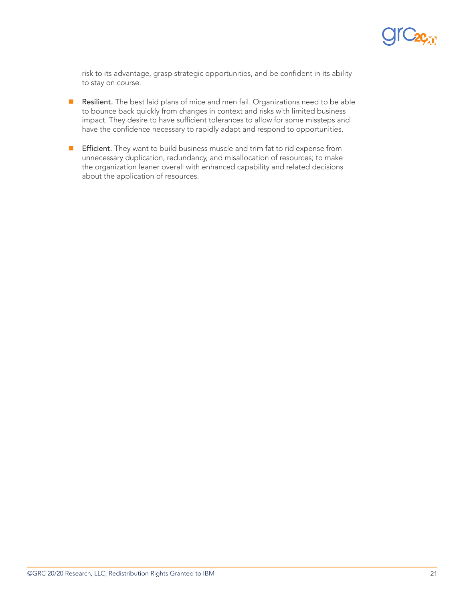

risk to its advantage, grasp strategic opportunities, and be confident in its ability to stay on course.

- **n** Resilient. The best laid plans of mice and men fail. Organizations need to be able to bounce back quickly from changes in context and risks with limited business impact. They desire to have sufficient tolerances to allow for some missteps and have the confidence necessary to rapidly adapt and respond to opportunities.
- **F** Efficient. They want to build business muscle and trim fat to rid expense from unnecessary duplication, redundancy, and misallocation of resources; to make the organization leaner overall with enhanced capability and related decisions about the application of resources.